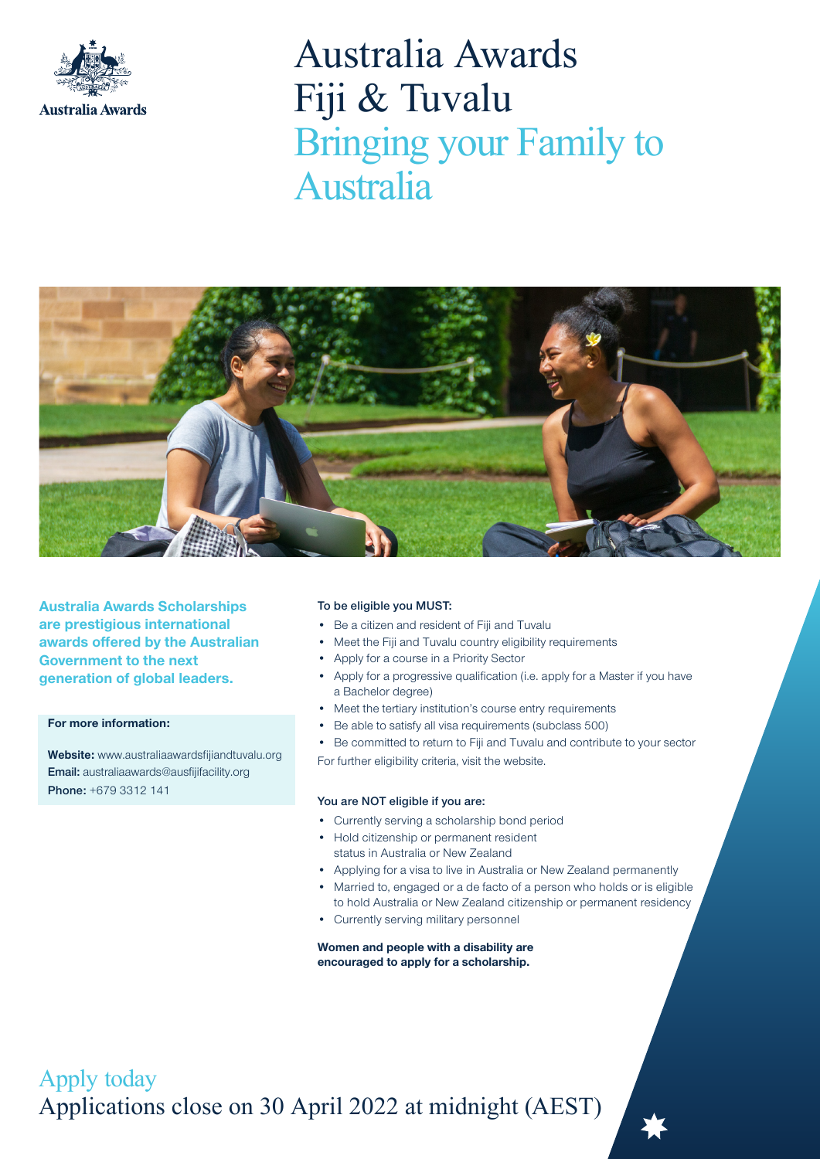

# Australia Awards Fiji & Tuvalu Bringing your Family to Australia



Australia Awards Scholarships are prestigious international awards offered by the Australian Government to the next generation of global leaders.

# For more information:

Website: www.australiaawardsfiijandtuvalu.org Email: australiaawards@ausfijifacility.org Phone: +679 3312 141

#### To be eligible you MUST:

- Be a citizen and resident of Fiji and Tuvalu
- Meet the Fiji and Tuvalu country eligibility requirements
- Apply for a course in a Priority Sector
- Apply for a progressive qualification (i.e. apply for a Master if you have a Bachelor degree)
- Meet the tertiary institution's course entry requirements
- Be able to satisfy all visa requirements (subclass 500)
- Be committed to return to Fiji and Tuvalu and contribute to your sector For further eligibility criteria, visit the website.

## You are NOT eligible if you are:

- Currently serving a scholarship bond period
- Hold citizenship or permanent resident status in Australia or New Zealand
- Applying for a visa to live in Australia or New Zealand permanently
- Married to, engaged or a de facto of a person who holds or is eligible to hold Australia or New Zealand citizenship or permanent residency
- Currently serving military personnel

Women and people with a disability are encouraged to apply for a scholarship.

Apply today Applications close on 30 April 2022 at midnight (AEST)